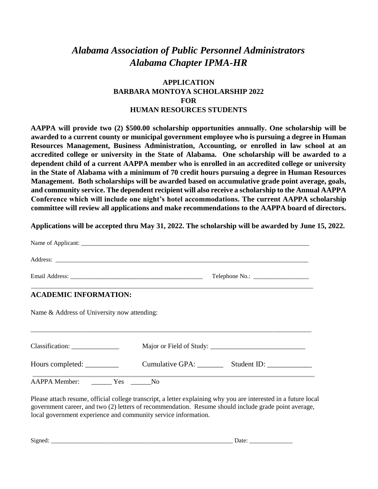## *Alabama Association of Public Personnel Administrators Alabama Chapter IPMA-HR*

## **APPLICATION BARBARA MONTOYA SCHOLARSHIP 2022 FOR HUMAN RESOURCES STUDENTS**

**AAPPA will provide two (2) \$500.00 scholarship opportunities annually. One scholarship will be awarded to a current county or municipal government employee who is pursuing a degree in Human Resources Management, Business Administration, Accounting, or enrolled in law school at an accredited college or university in the State of Alabama. One scholarship will be awarded to a dependent child of a current AAPPA member who is enrolled in an accredited college or university in the State of Alabama with a minimum of 70 credit hours pursuing a degree in Human Resources Management. Both scholarships will be awarded based on accumulative grade point average, goals, and community service. The dependent recipient will also receive a scholarship to the Annual AAPPA Conference which will include one night's hotel accommodations. The current AAPPA scholarship committee will review all applications and make recommendations to the AAPPA board of directors.** 

**Applications will be accepted thru May 31, 2022. The scholarship will be awarded by June 15, 2022.**

| Address: <u>and a series of the series of the series of the series of the series of the series of the series of the series of the series of the series of the series of the series of the series of the series of the series of </u>                         |  |                             |
|--------------------------------------------------------------------------------------------------------------------------------------------------------------------------------------------------------------------------------------------------------------|--|-----------------------------|
|                                                                                                                                                                                                                                                              |  |                             |
| ,我们也不会有什么?""我们的人,我们也不会不会不会不会不会不会不会不会。""我们的人,我们也不会不会不会不会不会不会不会。""我们的人,我们也不会不会不会不会<br><b>ACADEMIC INFORMATION:</b>                                                                                                                                             |  |                             |
| Name & Address of University now attending:                                                                                                                                                                                                                  |  |                             |
| Classification:                                                                                                                                                                                                                                              |  |                             |
| Hours completed: ___________                                                                                                                                                                                                                                 |  | Cumulative GPA: Student ID: |
| <b>AAPPA Member:</b><br><b>The Second Second Second Second Second Second Second Second Second Second Second Second Second Second Second Second Second Second Second Second Second Second Second Second Second Second Second Second Second Second Second </b> |  |                             |

Please attach resume, official college transcript, a letter explaining why you are interested in a future local government career, and two (2) letters of recommendation. Resume should include grade point average, local government experience and community service information.